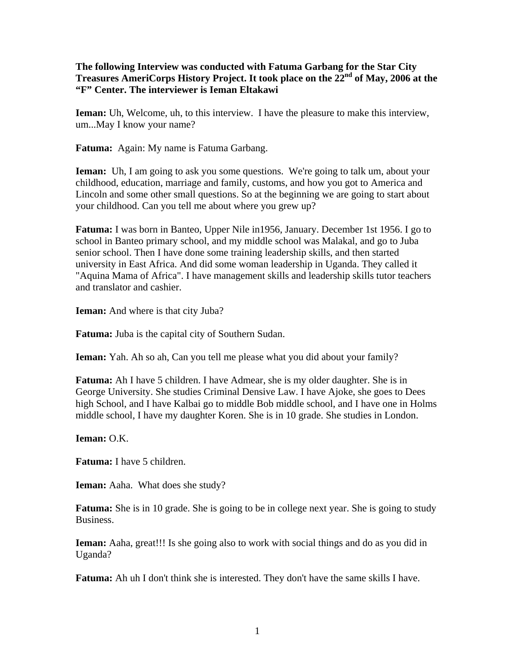## **The following Interview was conducted with Fatuma Garbang for the Star City Treasures AmeriCorps History Project. It took place on the 22nd of May, 2006 at the "F" Center. The interviewer is Ieman Eltakawi**

**Ieman:** Uh, Welcome, uh, to this interview. I have the pleasure to make this interview, um...May I know your name?

**Fatuma:** Again: My name is Fatuma Garbang.

**Ieman:** Uh, I am going to ask you some questions. We're going to talk um, about your childhood, education, marriage and family, customs, and how you got to America and Lincoln and some other small questions. So at the beginning we are going to start about your childhood. Can you tell me about where you grew up?

**Fatuma:** I was born in Banteo, Upper Nile in1956, January. December 1st 1956. I go to school in Banteo primary school, and my middle school was Malakal, and go to Juba senior school. Then I have done some training leadership skills, and then started university in East Africa. And did some woman leadership in Uganda. They called it "Aquina Mama of Africa". I have management skills and leadership skills tutor teachers and translator and cashier.

**Ieman:** And where is that city Juba?

**Fatuma:** Juba is the capital city of Southern Sudan.

**Ieman:** Yah. Ah so ah, Can you tell me please what you did about your family?

**Fatuma:** Ah I have 5 children. I have Admear, she is my older daughter. She is in George University. She studies Criminal Densive Law. I have Ajoke, she goes to Dees high School, and I have Kalbai go to middle Bob middle school, and I have one in Holms middle school, I have my daughter Koren. She is in 10 grade. She studies in London.

**Ieman:** O.K.

**Fatuma:** I have 5 children.

**Ieman:** Aaha. What does she study?

**Fatuma:** She is in 10 grade. She is going to be in college next year. She is going to study Business.

**Ieman:** Aaha, great!!! Is she going also to work with social things and do as you did in Uganda?

**Fatuma:** Ah uh I don't think she is interested. They don't have the same skills I have.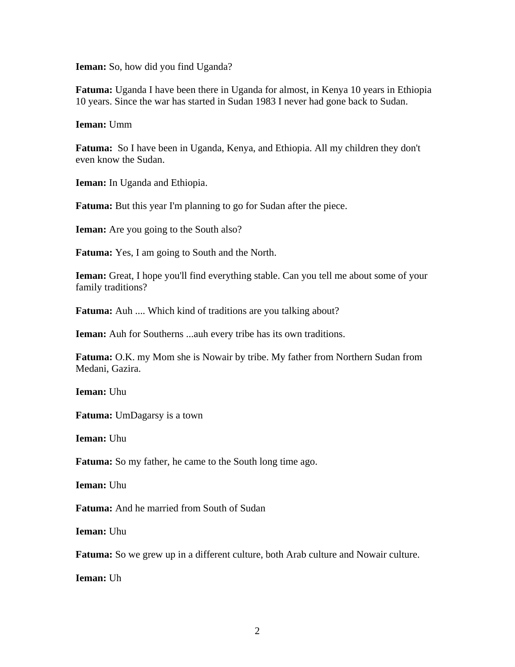**Ieman:** So, how did you find Uganda?

**Fatuma:** Uganda I have been there in Uganda for almost, in Kenya 10 years in Ethiopia 10 years. Since the war has started in Sudan 1983 I never had gone back to Sudan.

**Ieman:** Umm

**Fatuma:** So I have been in Uganda, Kenya, and Ethiopia. All my children they don't even know the Sudan.

**Ieman:** In Uganda and Ethiopia.

**Fatuma:** But this year I'm planning to go for Sudan after the piece.

**Ieman:** Are you going to the South also?

**Fatuma:** Yes, I am going to South and the North.

**Ieman:** Great, I hope you'll find everything stable. Can you tell me about some of your family traditions?

**Fatuma:** Auh .... Which kind of traditions are you talking about?

**Ieman:** Auh for Southerns ...auh every tribe has its own traditions.

**Fatuma:** O.K. my Mom she is Nowair by tribe. My father from Northern Sudan from Medani, Gazira.

**Ieman:** Uhu

**Fatuma:** UmDagarsy is a town

**Ieman:** Uhu

**Fatuma:** So my father, he came to the South long time ago.

**Ieman:** Uhu

**Fatuma:** And he married from South of Sudan

**Ieman:** Uhu

Fatuma: So we grew up in a different culture, both Arab culture and Nowair culture.

**Ieman:** Uh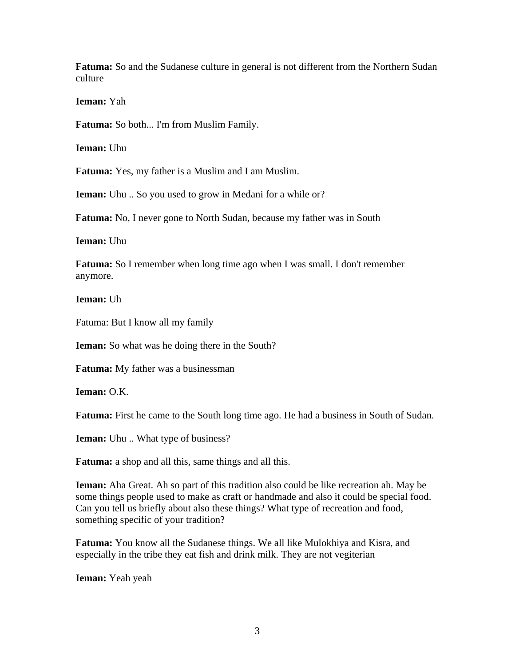**Fatuma:** So and the Sudanese culture in general is not different from the Northern Sudan culture

**Ieman:** Yah

**Fatuma:** So both... I'm from Muslim Family.

**Ieman:** Uhu

**Fatuma:** Yes, my father is a Muslim and I am Muslim.

**Ieman:** Uhu .. So you used to grow in Medani for a while or?

**Fatuma:** No, I never gone to North Sudan, because my father was in South

**Ieman:** Uhu

**Fatuma:** So I remember when long time ago when I was small. I don't remember anymore.

**Ieman:** Uh

Fatuma: But I know all my family

**Ieman:** So what was he doing there in the South?

**Fatuma:** My father was a businessman

**Ieman:** O.K.

**Fatuma:** First he came to the South long time ago. He had a business in South of Sudan.

**Ieman:** Uhu .. What type of business?

**Fatuma:** a shop and all this, same things and all this.

**Ieman:** Aha Great. Ah so part of this tradition also could be like recreation ah. May be some things people used to make as craft or handmade and also it could be special food. Can you tell us briefly about also these things? What type of recreation and food, something specific of your tradition?

**Fatuma:** You know all the Sudanese things. We all like Mulokhiya and Kisra, and especially in the tribe they eat fish and drink milk. They are not vegiterian

**Ieman:** Yeah yeah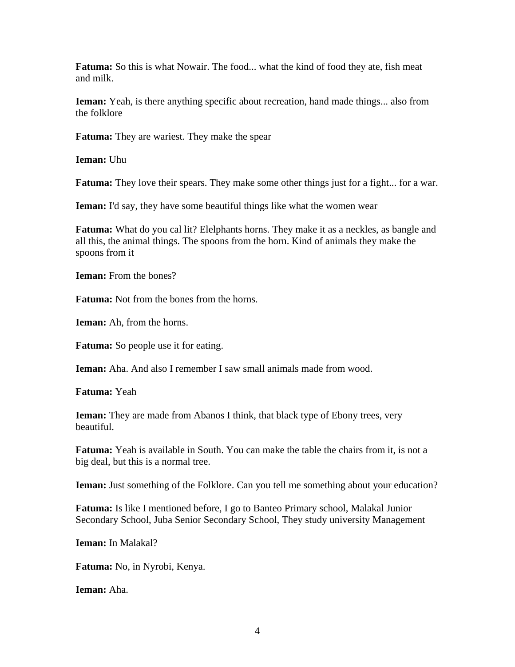**Fatuma:** So this is what Nowair. The food... what the kind of food they ate, fish meat and milk.

**Ieman:** Yeah, is there anything specific about recreation, hand made things... also from the folklore

**Fatuma:** They are wariest. They make the spear

**Ieman:** Uhu

**Fatuma:** They love their spears. They make some other things just for a fight... for a war.

**Ieman:** I'd say, they have some beautiful things like what the women wear

**Fatuma:** What do you cal lit? Elelphants horns. They make it as a neckles, as bangle and all this, the animal things. The spoons from the horn. Kind of animals they make the spoons from it

**Ieman:** From the bones?

**Fatuma:** Not from the bones from the horns.

**Ieman:** Ah, from the horns.

**Fatuma:** So people use it for eating.

**Ieman:** Aha. And also I remember I saw small animals made from wood.

**Fatuma:** Yeah

**Ieman:** They are made from Abanos I think, that black type of Ebony trees, very beautiful.

**Fatuma:** Yeah is available in South. You can make the table the chairs from it, is not a big deal, but this is a normal tree.

**Ieman:** Just something of the Folklore. Can you tell me something about your education?

**Fatuma:** Is like I mentioned before, I go to Banteo Primary school, Malakal Junior Secondary School, Juba Senior Secondary School, They study university Management

**Ieman:** In Malakal?

**Fatuma:** No, in Nyrobi, Kenya.

**Ieman:** Aha.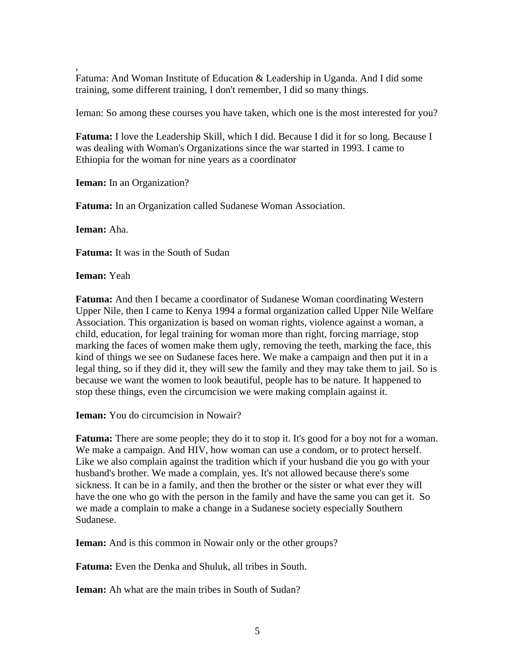, Fatuma: And Woman Institute of Education & Leadership in Uganda. And I did some training, some different training, I don't remember, I did so many things.

Ieman: So among these courses you have taken, which one is the most interested for you?

**Fatuma:** I love the Leadership Skill, which I did. Because I did it for so long. Because I was dealing with Woman's Organizations since the war started in 1993. I came to Ethiopia for the woman for nine years as a coordinator

**Ieman:** In an Organization?

**Fatuma:** In an Organization called Sudanese Woman Association.

**Ieman:** Aha.

**Fatuma:** It was in the South of Sudan

**Ieman:** Yeah

**Fatuma:** And then I became a coordinator of Sudanese Woman coordinating Western Upper Nile, then I came to Kenya 1994 a formal organization called Upper Nile Welfare Association. This organization is based on woman rights, violence against a woman, a child, education, for legal training for woman more than right, forcing marriage, stop marking the faces of women make them ugly, removing the teeth, marking the face, this kind of things we see on Sudanese faces here. We make a campaign and then put it in a legal thing, so if they did it, they will sew the family and they may take them to jail. So is because we want the women to look beautiful, people has to be nature. It happened to stop these things, even the circumcision we were making complain against it.

**Ieman:** You do circumcision in Nowair?

**Fatuma:** There are some people; they do it to stop it. It's good for a boy not for a woman. We make a campaign. And HIV, how woman can use a condom, or to protect herself. Like we also complain against the tradition which if your husband die you go with your husband's brother. We made a complain, yes. It's not allowed because there's some sickness. It can be in a family, and then the brother or the sister or what ever they will have the one who go with the person in the family and have the same you can get it. So we made a complain to make a change in a Sudanese society especially Southern Sudanese.

**Ieman:** And is this common in Nowair only or the other groups?

**Fatuma:** Even the Denka and Shuluk, all tribes in South.

**Ieman:** Ah what are the main tribes in South of Sudan?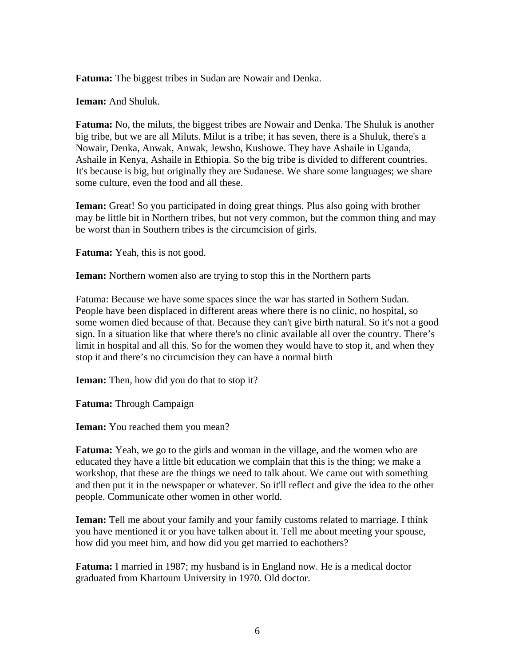**Fatuma:** The biggest tribes in Sudan are Nowair and Denka.

**Ieman:** And Shuluk.

**Fatuma:** No, the miluts, the biggest tribes are Nowair and Denka. The Shuluk is another big tribe, but we are all Miluts. Milut is a tribe; it has seven, there is a Shuluk, there's a Nowair, Denka, Anwak, Anwak, Jewsho, Kushowe. They have Ashaile in Uganda, Ashaile in Kenya, Ashaile in Ethiopia. So the big tribe is divided to different countries. It's because is big, but originally they are Sudanese. We share some languages; we share some culture, even the food and all these.

**Ieman:** Great! So you participated in doing great things. Plus also going with brother may be little bit in Northern tribes, but not very common, but the common thing and may be worst than in Southern tribes is the circumcision of girls.

**Fatuma:** Yeah, this is not good.

**Ieman:** Northern women also are trying to stop this in the Northern parts

Fatuma: Because we have some spaces since the war has started in Sothern Sudan. People have been displaced in different areas where there is no clinic, no hospital, so some women died because of that. Because they can't give birth natural. So it's not a good sign. In a situation like that where there's no clinic available all over the country. There's limit in hospital and all this. So for the women they would have to stop it, and when they stop it and there's no circumcision they can have a normal birth

**Ieman:** Then, how did you do that to stop it?

**Fatuma:** Through Campaign

**Ieman:** You reached them you mean?

**Fatuma:** Yeah, we go to the girls and woman in the village, and the women who are educated they have a little bit education we complain that this is the thing; we make a workshop, that these are the things we need to talk about. We came out with something and then put it in the newspaper or whatever. So it'll reflect and give the idea to the other people. Communicate other women in other world.

**Ieman:** Tell me about your family and your family customs related to marriage. I think you have mentioned it or you have talken about it. Tell me about meeting your spouse, how did you meet him, and how did you get married to eachothers?

**Fatuma:** I married in 1987; my husband is in England now. He is a medical doctor graduated from Khartoum University in 1970. Old doctor.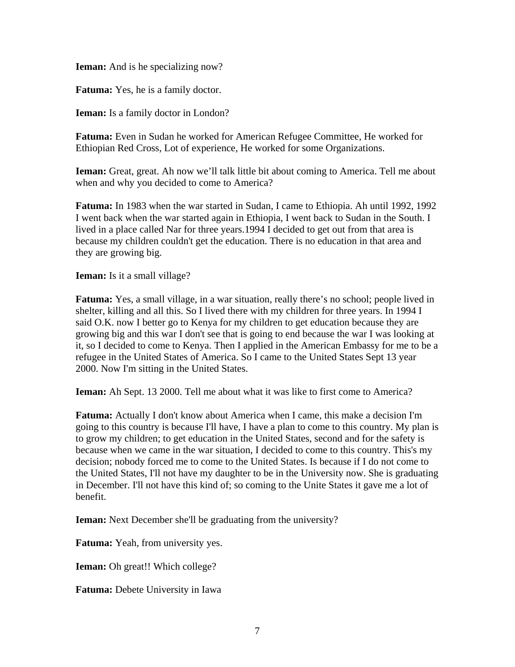**Ieman:** And is he specializing now?

**Fatuma:** Yes, he is a family doctor.

**Ieman:** Is a family doctor in London?

**Fatuma:** Even in Sudan he worked for American Refugee Committee, He worked for Ethiopian Red Cross, Lot of experience, He worked for some Organizations.

**Ieman:** Great, great. Ah now we'll talk little bit about coming to America. Tell me about when and why you decided to come to America?

**Fatuma:** In 1983 when the war started in Sudan, I came to Ethiopia. Ah until 1992, 1992 I went back when the war started again in Ethiopia, I went back to Sudan in the South. I lived in a place called Nar for three years.1994 I decided to get out from that area is because my children couldn't get the education. There is no education in that area and they are growing big.

**Ieman:** Is it a small village?

**Fatuma:** Yes, a small village, in a war situation, really there's no school; people lived in shelter, killing and all this. So I lived there with my children for three years. In 1994 I said O.K. now I better go to Kenya for my children to get education because they are growing big and this war I don't see that is going to end because the war I was looking at it, so I decided to come to Kenya. Then I applied in the American Embassy for me to be a refugee in the United States of America. So I came to the United States Sept 13 year 2000. Now I'm sitting in the United States.

**Ieman:** Ah Sept. 13 2000. Tell me about what it was like to first come to America?

**Fatuma:** Actually I don't know about America when I came, this make a decision I'm going to this country is because I'll have, I have a plan to come to this country. My plan is to grow my children; to get education in the United States, second and for the safety is because when we came in the war situation, I decided to come to this country. This's my decision; nobody forced me to come to the United States. Is because if I do not come to the United States, I'll not have my daughter to be in the University now. She is graduating in December. I'll not have this kind of; so coming to the Unite States it gave me a lot of benefit.

**Ieman:** Next December she'll be graduating from the university?

**Fatuma:** Yeah, from university yes.

**Ieman:** Oh great!! Which college?

**Fatuma:** Debete University in Iawa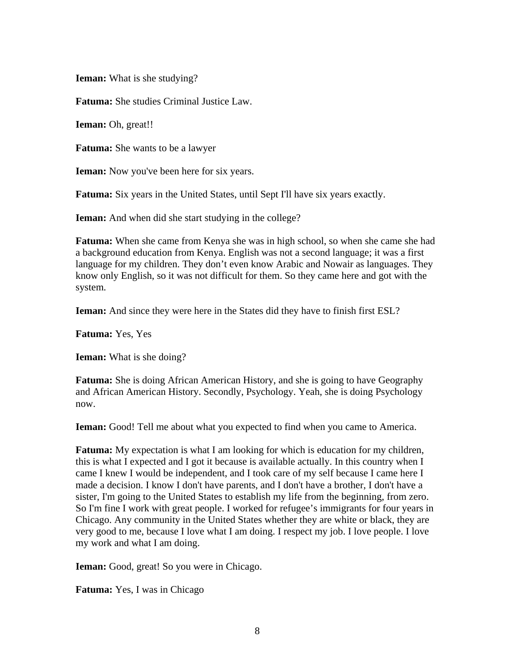**Ieman:** What is she studying?

**Fatuma:** She studies Criminal Justice Law.

**Ieman:** Oh, great!!

**Fatuma:** She wants to be a lawyer

**Ieman:** Now you've been here for six years.

**Fatuma:** Six years in the United States, until Sept I'll have six years exactly.

**Ieman:** And when did she start studying in the college?

**Fatuma:** When she came from Kenya she was in high school, so when she came she had a background education from Kenya. English was not a second language; it was a first language for my children. They don't even know Arabic and Nowair as languages. They know only English, so it was not difficult for them. So they came here and got with the system.

**Ieman:** And since they were here in the States did they have to finish first ESL?

**Fatuma:** Yes, Yes

**Ieman:** What is she doing?

**Fatuma:** She is doing African American History, and she is going to have Geography and African American History. Secondly, Psychology. Yeah, she is doing Psychology now.

**Ieman:** Good! Tell me about what you expected to find when you came to America.

**Fatuma:** My expectation is what I am looking for which is education for my children, this is what I expected and I got it because is available actually. In this country when I came I knew I would be independent, and I took care of my self because I came here I made a decision. I know I don't have parents, and I don't have a brother, I don't have a sister, I'm going to the United States to establish my life from the beginning, from zero. So I'm fine I work with great people. I worked for refugee's immigrants for four years in Chicago. Any community in the United States whether they are white or black, they are very good to me, because I love what I am doing. I respect my job. I love people. I love my work and what I am doing.

**Ieman:** Good, great! So you were in Chicago.

**Fatuma:** Yes, I was in Chicago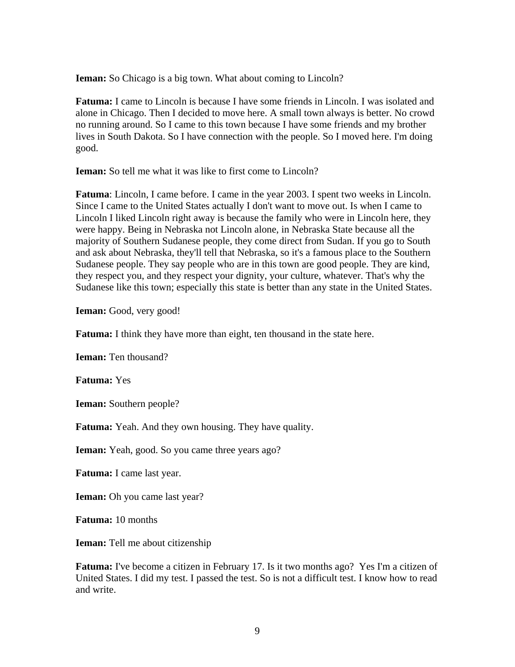**Ieman:** So Chicago is a big town. What about coming to Lincoln?

**Fatuma:** I came to Lincoln is because I have some friends in Lincoln. I was isolated and alone in Chicago. Then I decided to move here. A small town always is better. No crowd no running around. So I came to this town because I have some friends and my brother lives in South Dakota. So I have connection with the people. So I moved here. I'm doing good.

**Ieman:** So tell me what it was like to first come to Lincoln?

**Fatuma**: Lincoln, I came before. I came in the year 2003. I spent two weeks in Lincoln. Since I came to the United States actually I don't want to move out. Is when I came to Lincoln I liked Lincoln right away is because the family who were in Lincoln here, they were happy. Being in Nebraska not Lincoln alone, in Nebraska State because all the majority of Southern Sudanese people, they come direct from Sudan. If you go to South and ask about Nebraska, they'll tell that Nebraska, so it's a famous place to the Southern Sudanese people. They say people who are in this town are good people. They are kind, they respect you, and they respect your dignity, your culture, whatever. That's why the Sudanese like this town; especially this state is better than any state in the United States.

**Ieman:** Good, very good!

**Fatuma:** I think they have more than eight, ten thousand in the state here.

**Ieman:** Ten thousand?

**Fatuma:** Yes

**Ieman:** Southern people?

**Fatuma:** Yeah. And they own housing. They have quality.

**Ieman:** Yeah, good. So you came three years ago?

**Fatuma:** I came last year.

**Ieman:** Oh you came last year?

**Fatuma:** 10 months

**Ieman:** Tell me about citizenship

**Fatuma:** I've become a citizen in February 17. Is it two months ago? Yes I'm a citizen of United States. I did my test. I passed the test. So is not a difficult test. I know how to read and write.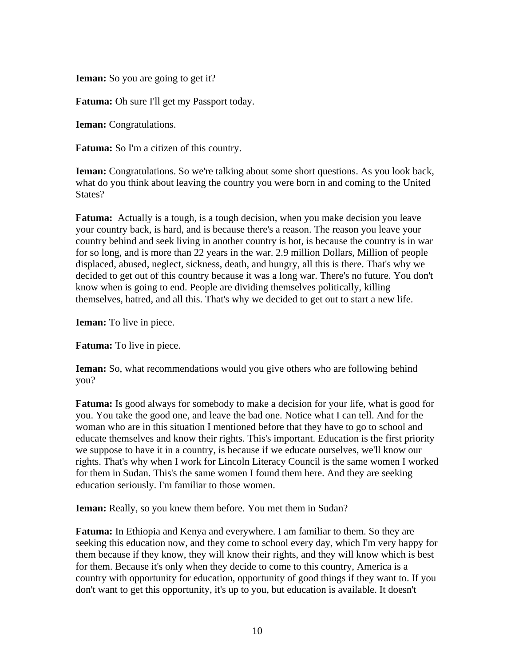**Ieman:** So you are going to get it?

**Fatuma:** Oh sure I'll get my Passport today.

**Ieman:** Congratulations.

**Fatuma:** So I'm a citizen of this country.

**Ieman:** Congratulations. So we're talking about some short questions. As you look back, what do you think about leaving the country you were born in and coming to the United States?

**Fatuma:** Actually is a tough, is a tough decision, when you make decision you leave your country back, is hard, and is because there's a reason. The reason you leave your country behind and seek living in another country is hot, is because the country is in war for so long, and is more than 22 years in the war. 2.9 million Dollars, Million of people displaced, abused, neglect, sickness, death, and hungry, all this is there. That's why we decided to get out of this country because it was a long war. There's no future. You don't know when is going to end. People are dividing themselves politically, killing themselves, hatred, and all this. That's why we decided to get out to start a new life.

**Ieman:** To live in piece.

**Fatuma:** To live in piece.

**Ieman:** So, what recommendations would you give others who are following behind you?

**Fatuma:** Is good always for somebody to make a decision for your life, what is good for you. You take the good one, and leave the bad one. Notice what I can tell. And for the woman who are in this situation I mentioned before that they have to go to school and educate themselves and know their rights. This's important. Education is the first priority we suppose to have it in a country, is because if we educate ourselves, we'll know our rights. That's why when I work for Lincoln Literacy Council is the same women I worked for them in Sudan. This's the same women I found them here. And they are seeking education seriously. I'm familiar to those women.

**Ieman:** Really, so you knew them before. You met them in Sudan?

**Fatuma:** In Ethiopia and Kenya and everywhere. I am familiar to them. So they are seeking this education now, and they come to school every day, which I'm very happy for them because if they know, they will know their rights, and they will know which is best for them. Because it's only when they decide to come to this country, America is a country with opportunity for education, opportunity of good things if they want to. If you don't want to get this opportunity, it's up to you, but education is available. It doesn't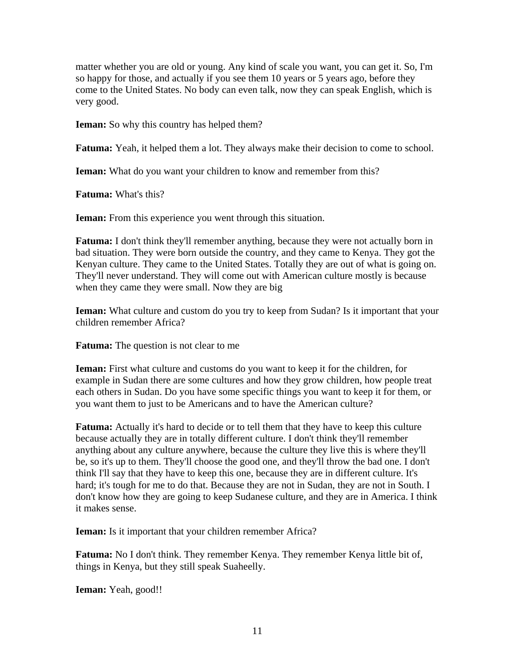matter whether you are old or young. Any kind of scale you want, you can get it. So, I'm so happy for those, and actually if you see them 10 years or 5 years ago, before they come to the United States. No body can even talk, now they can speak English, which is very good.

**Ieman:** So why this country has helped them?

**Fatuma:** Yeah, it helped them a lot. They always make their decision to come to school.

**Ieman:** What do you want your children to know and remember from this?

**Fatuma:** What's this?

**Ieman:** From this experience you went through this situation.

**Fatuma:** I don't think they'll remember anything, because they were not actually born in bad situation. They were born outside the country, and they came to Kenya. They got the Kenyan culture. They came to the United States. Totally they are out of what is going on. They'll never understand. They will come out with American culture mostly is because when they came they were small. Now they are big

**Ieman:** What culture and custom do you try to keep from Sudan? Is it important that your children remember Africa?

**Fatuma:** The question is not clear to me

**Ieman:** First what culture and customs do you want to keep it for the children, for example in Sudan there are some cultures and how they grow children, how people treat each others in Sudan. Do you have some specific things you want to keep it for them, or you want them to just to be Americans and to have the American culture?

**Fatuma:** Actually it's hard to decide or to tell them that they have to keep this culture because actually they are in totally different culture. I don't think they'll remember anything about any culture anywhere, because the culture they live this is where they'll be, so it's up to them. They'll choose the good one, and they'll throw the bad one. I don't think I'll say that they have to keep this one, because they are in different culture. It's hard; it's tough for me to do that. Because they are not in Sudan, they are not in South. I don't know how they are going to keep Sudanese culture, and they are in America. I think it makes sense.

**Ieman:** Is it important that your children remember Africa?

**Fatuma:** No I don't think. They remember Kenya. They remember Kenya little bit of, things in Kenya, but they still speak Suaheelly.

**Ieman:** Yeah, good!!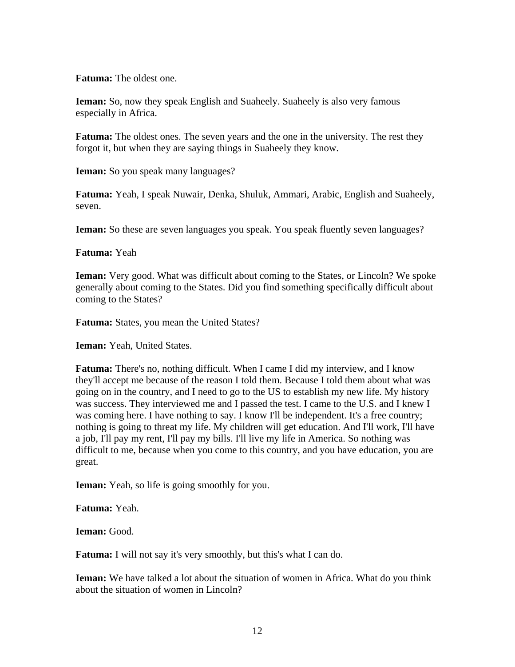**Fatuma:** The oldest one.

**Ieman:** So, now they speak English and Suaheely. Suaheely is also very famous especially in Africa.

**Fatuma:** The oldest ones. The seven years and the one in the university. The rest they forgot it, but when they are saying things in Suaheely they know.

**Ieman:** So you speak many languages?

**Fatuma:** Yeah, I speak Nuwair, Denka, Shuluk, Ammari, Arabic, English and Suaheely, seven.

**Ieman:** So these are seven languages you speak. You speak fluently seven languages?

**Fatuma:** Yeah

**Ieman:** Very good. What was difficult about coming to the States, or Lincoln? We spoke generally about coming to the States. Did you find something specifically difficult about coming to the States?

**Fatuma:** States, you mean the United States?

**Ieman:** Yeah, United States.

**Fatuma:** There's no, nothing difficult. When I came I did my interview, and I know they'll accept me because of the reason I told them. Because I told them about what was going on in the country, and I need to go to the US to establish my new life. My history was success. They interviewed me and I passed the test. I came to the U.S. and I knew I was coming here. I have nothing to say. I know I'll be independent. It's a free country; nothing is going to threat my life. My children will get education. And I'll work, I'll have a job, I'll pay my rent, I'll pay my bills. I'll live my life in America. So nothing was difficult to me, because when you come to this country, and you have education, you are great.

**Ieman:** Yeah, so life is going smoothly for you.

**Fatuma:** Yeah.

**Ieman:** Good.

**Fatuma:** I will not say it's very smoothly, but this's what I can do.

**Ieman:** We have talked a lot about the situation of women in Africa. What do you think about the situation of women in Lincoln?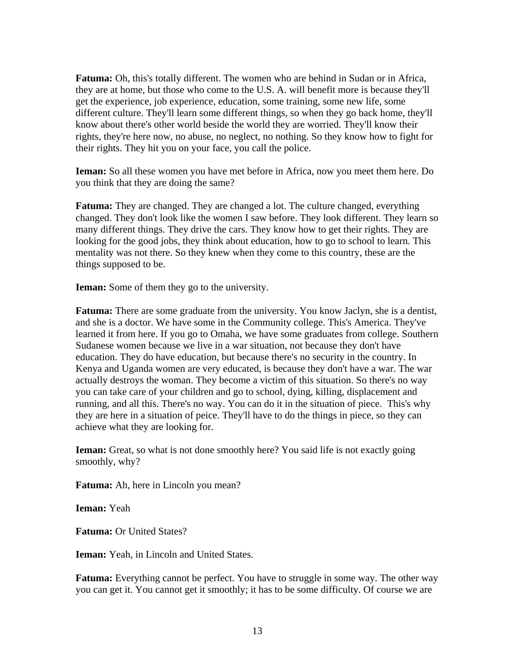**Fatuma:** Oh, this's totally different. The women who are behind in Sudan or in Africa, they are at home, but those who come to the U.S. A. will benefit more is because they'll get the experience, job experience, education, some training, some new life, some different culture. They'll learn some different things, so when they go back home, they'll know about there's other world beside the world they are worried. They'll know their rights, they're here now, no abuse, no neglect, no nothing. So they know how to fight for their rights. They hit you on your face, you call the police.

**Ieman:** So all these women you have met before in Africa, now you meet them here. Do you think that they are doing the same?

**Fatuma:** They are changed. They are changed a lot. The culture changed, everything changed. They don't look like the women I saw before. They look different. They learn so many different things. They drive the cars. They know how to get their rights. They are looking for the good jobs, they think about education, how to go to school to learn. This mentality was not there. So they knew when they come to this country, these are the things supposed to be.

**Ieman:** Some of them they go to the university.

**Fatuma:** There are some graduate from the university. You know Jaclyn, she is a dentist, and she is a doctor. We have some in the Community college. This's America. They've learned it from here. If you go to Omaha, we have some graduates from college. Southern Sudanese women because we live in a war situation, not because they don't have education. They do have education, but because there's no security in the country. In Kenya and Uganda women are very educated, is because they don't have a war. The war actually destroys the woman. They become a victim of this situation. So there's no way you can take care of your children and go to school, dying, killing, displacement and running, and all this. There's no way. You can do it in the situation of piece. This's why they are here in a situation of peice. They'll have to do the things in piece, so they can achieve what they are looking for.

**Ieman:** Great, so what is not done smoothly here? You said life is not exactly going smoothly, why?

**Fatuma:** Ah, here in Lincoln you mean?

**Ieman:** Yeah

**Fatuma:** Or United States?

**Ieman:** Yeah, in Lincoln and United States.

**Fatuma:** Everything cannot be perfect. You have to struggle in some way. The other way you can get it. You cannot get it smoothly; it has to be some difficulty. Of course we are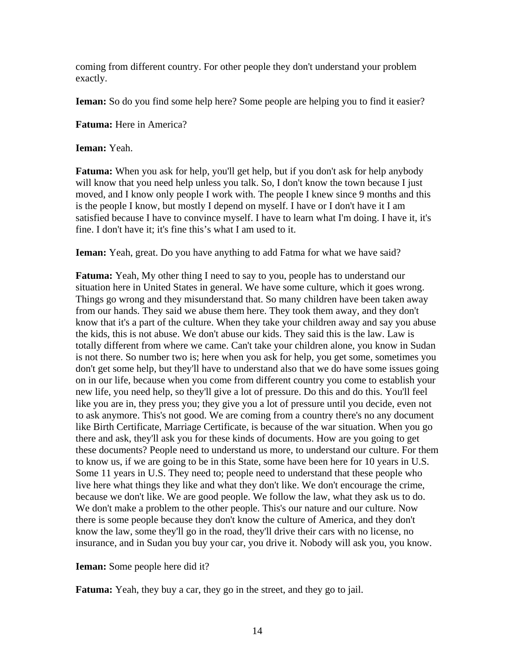coming from different country. For other people they don't understand your problem exactly.

**Ieman:** So do you find some help here? Some people are helping you to find it easier?

**Fatuma:** Here in America?

**Ieman:** Yeah.

**Fatuma:** When you ask for help, you'll get help, but if you don't ask for help anybody will know that you need help unless you talk. So, I don't know the town because I just moved, and I know only people I work with. The people I knew since 9 months and this is the people I know, but mostly I depend on myself. I have or I don't have it I am satisfied because I have to convince myself. I have to learn what I'm doing. I have it, it's fine. I don't have it; it's fine this's what I am used to it.

**Ieman:** Yeah, great. Do you have anything to add Fatma for what we have said?

**Fatuma:** Yeah, My other thing I need to say to you, people has to understand our situation here in United States in general. We have some culture, which it goes wrong. Things go wrong and they misunderstand that. So many children have been taken away from our hands. They said we abuse them here. They took them away, and they don't know that it's a part of the culture. When they take your children away and say you abuse the kids, this is not abuse. We don't abuse our kids. They said this is the law. Law is totally different from where we came. Can't take your children alone, you know in Sudan is not there. So number two is; here when you ask for help, you get some, sometimes you don't get some help, but they'll have to understand also that we do have some issues going on in our life, because when you come from different country you come to establish your new life, you need help, so they'll give a lot of pressure. Do this and do this. You'll feel like you are in, they press you; they give you a lot of pressure until you decide, even not to ask anymore. This's not good. We are coming from a country there's no any document like Birth Certificate, Marriage Certificate, is because of the war situation. When you go there and ask, they'll ask you for these kinds of documents. How are you going to get these documents? People need to understand us more, to understand our culture. For them to know us, if we are going to be in this State, some have been here for 10 years in U.S. Some 11 years in U.S. They need to; people need to understand that these people who live here what things they like and what they don't like. We don't encourage the crime, because we don't like. We are good people. We follow the law, what they ask us to do. We don't make a problem to the other people. This's our nature and our culture. Now there is some people because they don't know the culture of America, and they don't know the law, some they'll go in the road, they'll drive their cars with no license, no insurance, and in Sudan you buy your car, you drive it. Nobody will ask you, you know.

**Ieman:** Some people here did it?

**Fatuma:** Yeah, they buy a car, they go in the street, and they go to jail.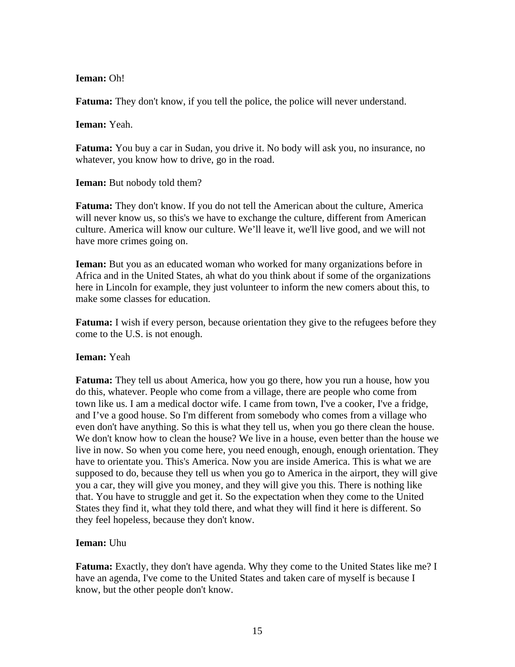## **Ieman:** Oh!

**Fatuma:** They don't know, if you tell the police, the police will never understand.

**Ieman:** Yeah.

**Fatuma:** You buy a car in Sudan, you drive it. No body will ask you, no insurance, no whatever, you know how to drive, go in the road.

**Ieman:** But nobody told them?

**Fatuma:** They don't know. If you do not tell the American about the culture, America will never know us, so this's we have to exchange the culture, different from American culture. America will know our culture. We'll leave it, we'll live good, and we will not have more crimes going on.

**Ieman:** But you as an educated woman who worked for many organizations before in Africa and in the United States, ah what do you think about if some of the organizations here in Lincoln for example, they just volunteer to inform the new comers about this, to make some classes for education.

**Fatuma:** I wish if every person, because orientation they give to the refugees before they come to the U.S. is not enough.

## **Ieman:** Yeah

**Fatuma:** They tell us about America, how you go there, how you run a house, how you do this, whatever. People who come from a village, there are people who come from town like us. I am a medical doctor wife. I came from town, I've a cooker, I've a fridge, and I've a good house. So I'm different from somebody who comes from a village who even don't have anything. So this is what they tell us, when you go there clean the house. We don't know how to clean the house? We live in a house, even better than the house we live in now. So when you come here, you need enough, enough, enough orientation. They have to orientate you. This's America. Now you are inside America. This is what we are supposed to do, because they tell us when you go to America in the airport, they will give you a car, they will give you money, and they will give you this. There is nothing like that. You have to struggle and get it. So the expectation when they come to the United States they find it, what they told there, and what they will find it here is different. So they feel hopeless, because they don't know.

## **Ieman:** Uhu

**Fatuma:** Exactly, they don't have agenda. Why they come to the United States like me? I have an agenda, I've come to the United States and taken care of myself is because I know, but the other people don't know.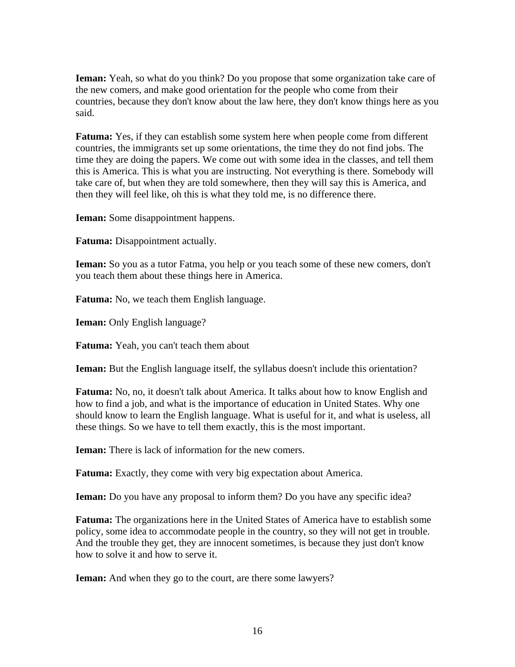**Ieman:** Yeah, so what do you think? Do you propose that some organization take care of the new comers, and make good orientation for the people who come from their countries, because they don't know about the law here, they don't know things here as you said.

**Fatuma:** Yes, if they can establish some system here when people come from different countries, the immigrants set up some orientations, the time they do not find jobs. The time they are doing the papers. We come out with some idea in the classes, and tell them this is America. This is what you are instructing. Not everything is there. Somebody will take care of, but when they are told somewhere, then they will say this is America, and then they will feel like, oh this is what they told me, is no difference there.

**Ieman:** Some disappointment happens.

**Fatuma:** Disappointment actually.

**Ieman:** So you as a tutor Fatma, you help or you teach some of these new comers, don't you teach them about these things here in America.

**Fatuma:** No, we teach them English language.

**Ieman:** Only English language?

**Fatuma:** Yeah, you can't teach them about

**Ieman:** But the English language itself, the syllabus doesn't include this orientation?

**Fatuma:** No, no, it doesn't talk about America. It talks about how to know English and how to find a job, and what is the importance of education in United States. Why one should know to learn the English language. What is useful for it, and what is useless, all these things. So we have to tell them exactly, this is the most important.

**Ieman:** There is lack of information for the new comers.

**Fatuma:** Exactly, they come with very big expectation about America.

**Ieman:** Do you have any proposal to inform them? Do you have any specific idea?

**Fatuma:** The organizations here in the United States of America have to establish some policy, some idea to accommodate people in the country, so they will not get in trouble. And the trouble they get, they are innocent sometimes, is because they just don't know how to solve it and how to serve it.

**Ieman:** And when they go to the court, are there some lawyers?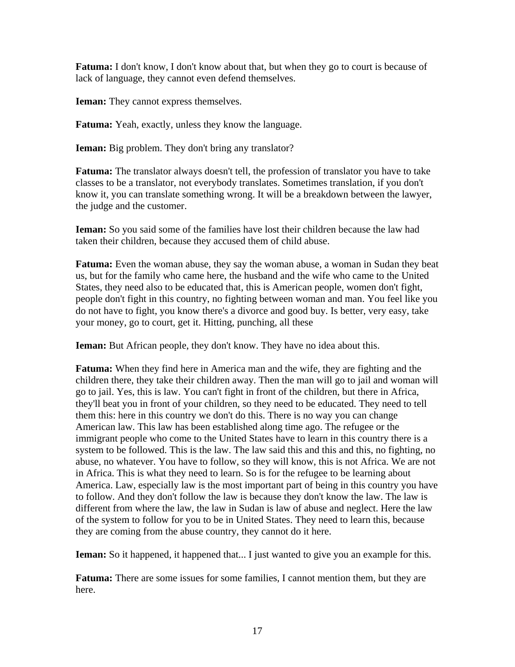**Fatuma:** I don't know, I don't know about that, but when they go to court is because of lack of language, they cannot even defend themselves.

**Ieman:** They cannot express themselves.

**Fatuma:** Yeah, exactly, unless they know the language.

**Ieman:** Big problem. They don't bring any translator?

**Fatuma:** The translator always doesn't tell, the profession of translator you have to take classes to be a translator, not everybody translates. Sometimes translation, if you don't know it, you can translate something wrong. It will be a breakdown between the lawyer, the judge and the customer.

**Ieman:** So you said some of the families have lost their children because the law had taken their children, because they accused them of child abuse.

**Fatuma:** Even the woman abuse, they say the woman abuse, a woman in Sudan they beat us, but for the family who came here, the husband and the wife who came to the United States, they need also to be educated that, this is American people, women don't fight, people don't fight in this country, no fighting between woman and man. You feel like you do not have to fight, you know there's a divorce and good buy. Is better, very easy, take your money, go to court, get it. Hitting, punching, all these

**Ieman:** But African people, they don't know. They have no idea about this.

**Fatuma:** When they find here in America man and the wife, they are fighting and the children there, they take their children away. Then the man will go to jail and woman will go to jail. Yes, this is law. You can't fight in front of the children, but there in Africa, they'll beat you in front of your children, so they need to be educated. They need to tell them this: here in this country we don't do this. There is no way you can change American law. This law has been established along time ago. The refugee or the immigrant people who come to the United States have to learn in this country there is a system to be followed. This is the law. The law said this and this and this, no fighting, no abuse, no whatever. You have to follow, so they will know, this is not Africa. We are not in Africa. This is what they need to learn. So is for the refugee to be learning about America. Law, especially law is the most important part of being in this country you have to follow. And they don't follow the law is because they don't know the law. The law is different from where the law, the law in Sudan is law of abuse and neglect. Here the law of the system to follow for you to be in United States. They need to learn this, because they are coming from the abuse country, they cannot do it here.

**Ieman:** So it happened, it happened that... I just wanted to give you an example for this.

**Fatuma:** There are some issues for some families, I cannot mention them, but they are here.